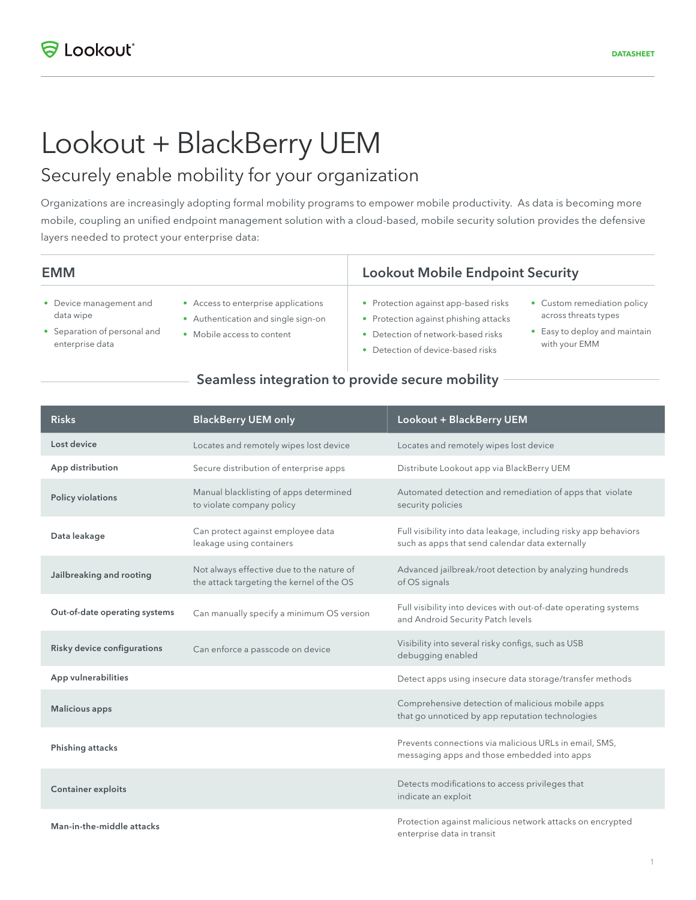# Lookout + BlackBerry UEM

## Securely enable mobility for your organization

Organizations are increasingly adopting formal mobility programs to empower mobile productivity. As data is becoming more mobile, coupling an unified endpoint management solution with a cloud-based, mobile security solution provides the defensive layers needed to protect your enterprise data:

- Device management and data wipe
- Separation of personal and enterprise data
- Access to enterprise applications
- Authentication and single sign-on
- Mobile access to content

## Lookout Mobile Endpoint Security

- Protection against app-based risks
- Protection against phishing attacks
- Detection of network-based risks
- Detection of device-based risks
- Custom remediation policy across threats types
- Easy to deploy and maintain with your EMM

### Seamless integration to provide secure mobility

| <b>Risks</b>                  | <b>BlackBerry UEM only</b>                                                             | Lookout + BlackBerry UEM                                                                                            |
|-------------------------------|----------------------------------------------------------------------------------------|---------------------------------------------------------------------------------------------------------------------|
| Lost device                   | Locates and remotely wipes lost device                                                 | Locates and remotely wipes lost device                                                                              |
| App distribution              | Secure distribution of enterprise apps                                                 | Distribute Lookout app via BlackBerry UEM                                                                           |
| Policy violations             | Manual blacklisting of apps determined<br>to violate company policy                    | Automated detection and remediation of apps that violate<br>security policies                                       |
| Data leakage                  | Can protect against employee data<br>leakage using containers                          | Full visibility into data leakage, including risky app behaviors<br>such as apps that send calendar data externally |
| Jailbreaking and rooting      | Not always effective due to the nature of<br>the attack targeting the kernel of the OS | Advanced jailbreak/root detection by analyzing hundreds<br>of OS signals                                            |
| Out-of-date operating systems | Can manually specify a minimum OS version                                              | Full visibility into devices with out-of-date operating systems<br>and Android Security Patch levels                |
| Risky device configurations   | Can enforce a passcode on device                                                       | Visibility into several risky configs, such as USB<br>debugging enabled                                             |
| App vulnerabilities           |                                                                                        | Detect apps using insecure data storage/transfer methods                                                            |
| <b>Malicious apps</b>         |                                                                                        | Comprehensive detection of malicious mobile apps<br>that go unnoticed by app reputation technologies                |
| Phishing attacks              |                                                                                        | Prevents connections via malicious URLs in email, SMS,<br>messaging apps and those embedded into apps               |
| <b>Container exploits</b>     |                                                                                        | Detects modifications to access privileges that<br>indicate an exploit                                              |
| Man-in-the-middle attacks     |                                                                                        | Protection against malicious network attacks on encrypted<br>enterprise data in transit                             |